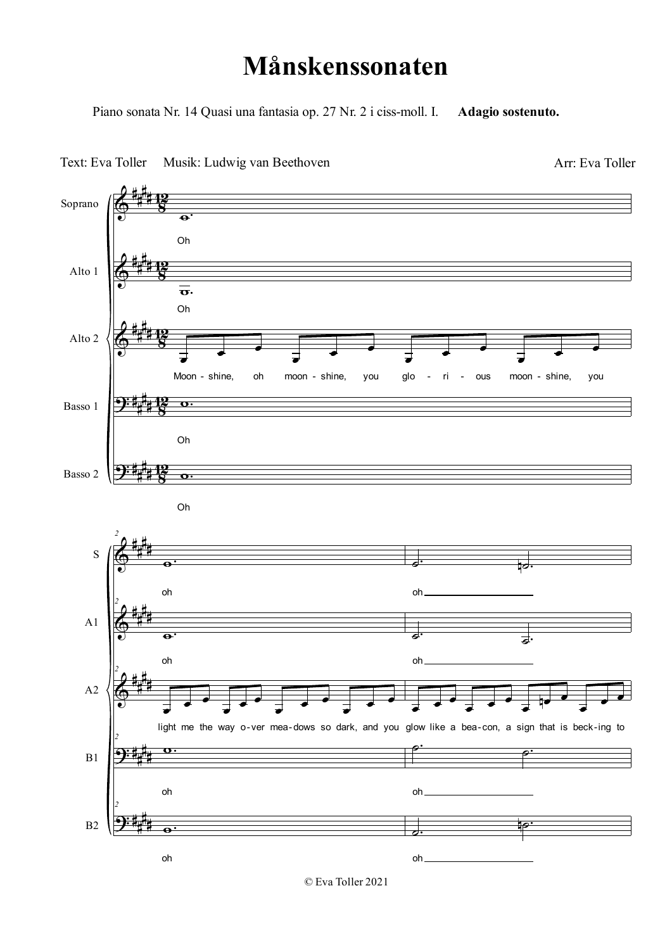## **Månskenssonaten**

Piano sonata Nr. 14 Quasi una fantasia op. 27 Nr. 2 i ciss-moll. I. **Adagio sostenuto.**



Text: Eva Toller Musik: Ludwig van Beethoven Arr: Eva Toller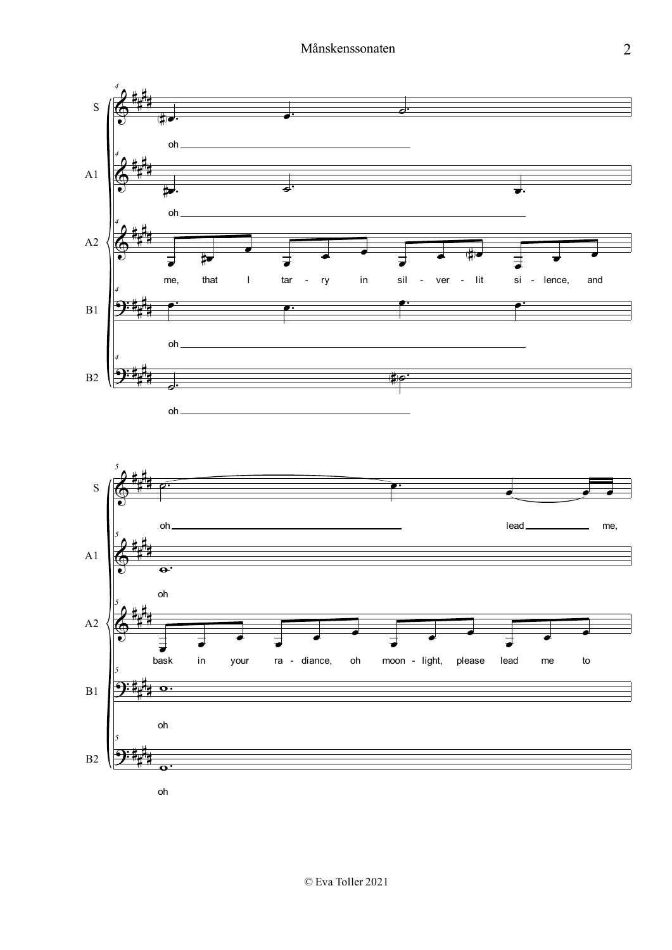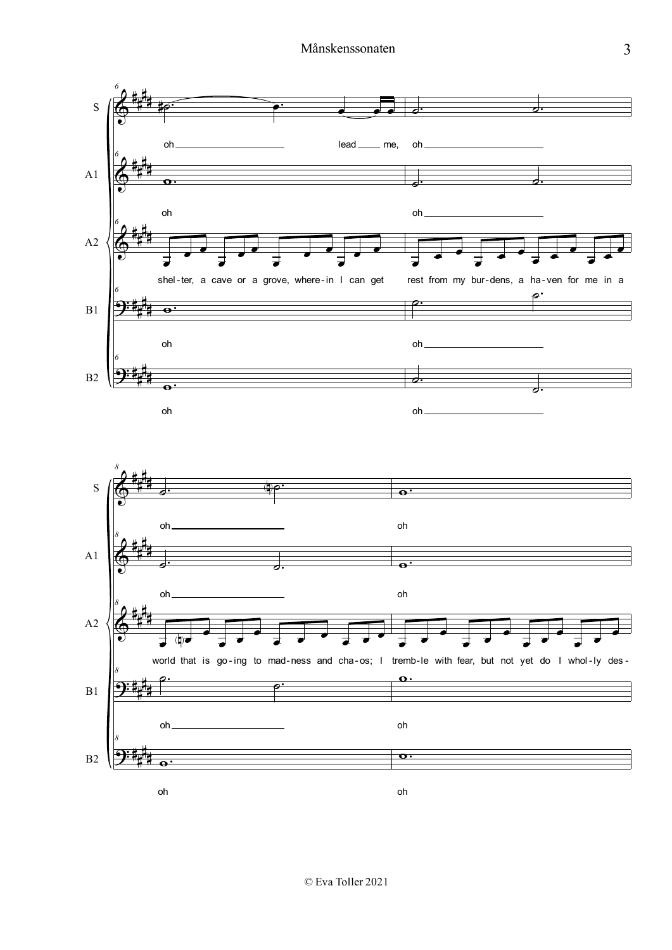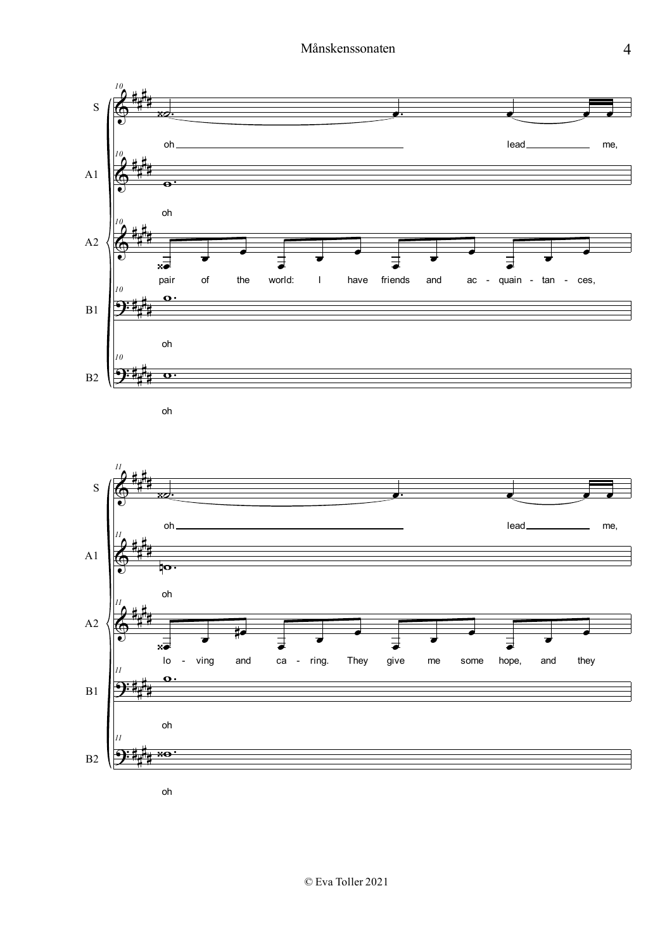

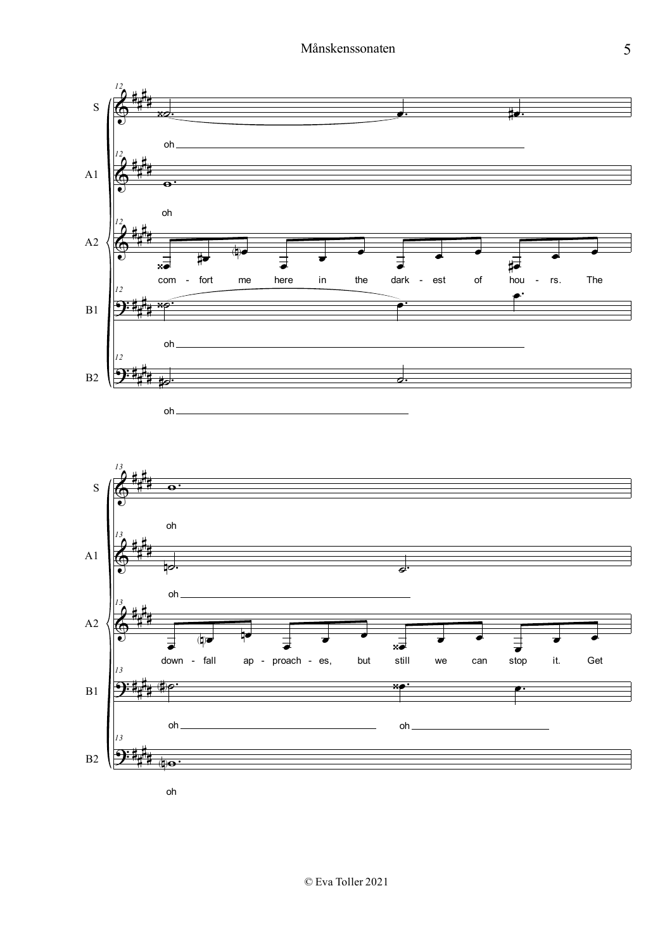

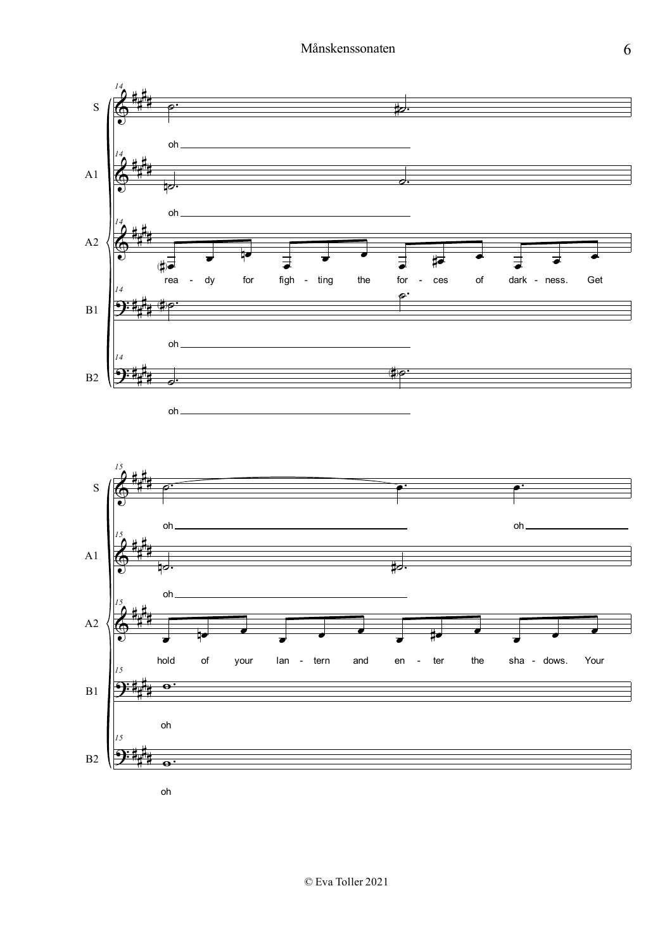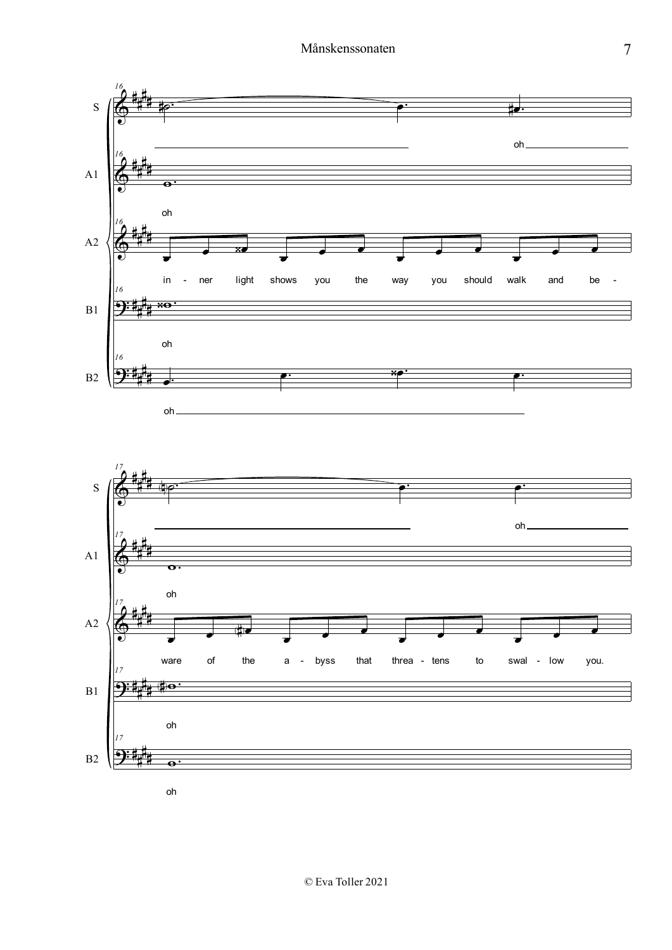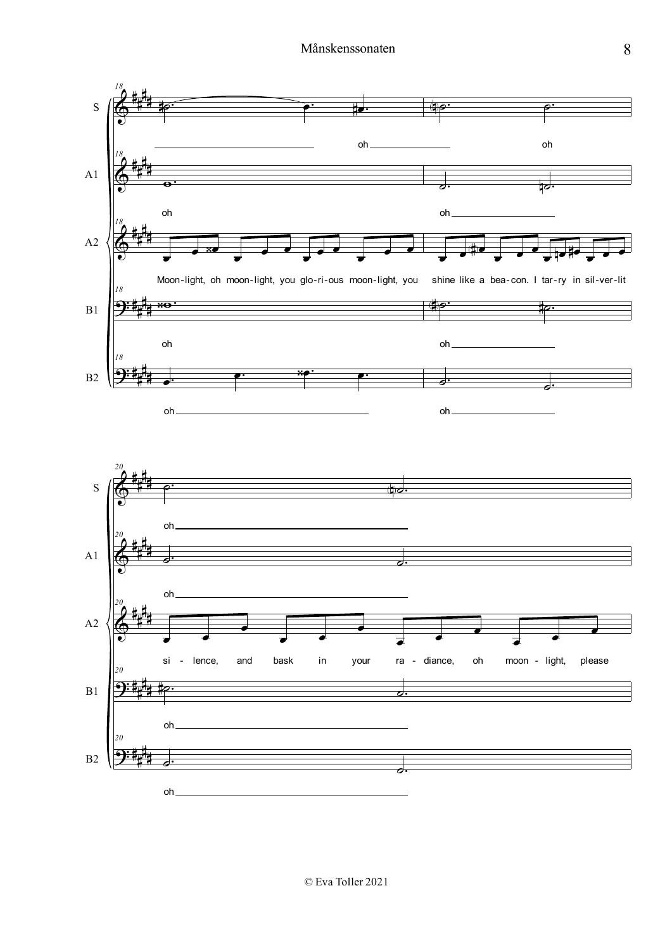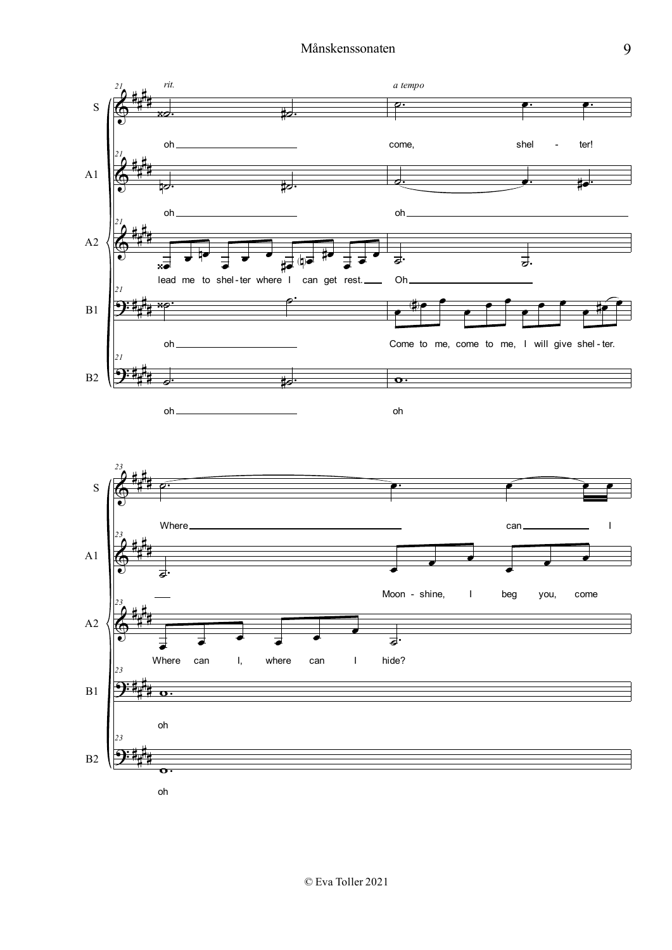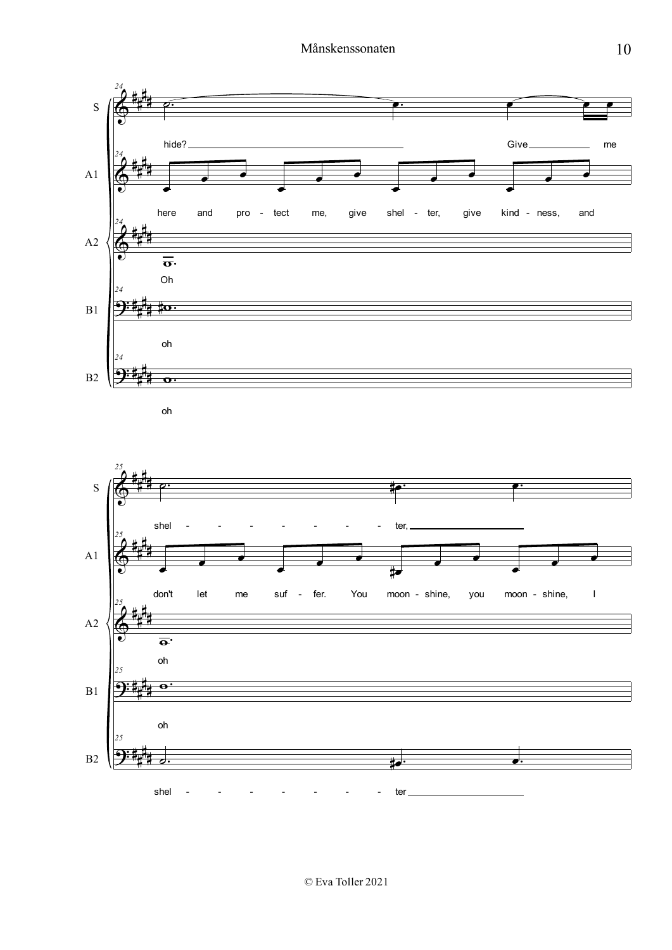

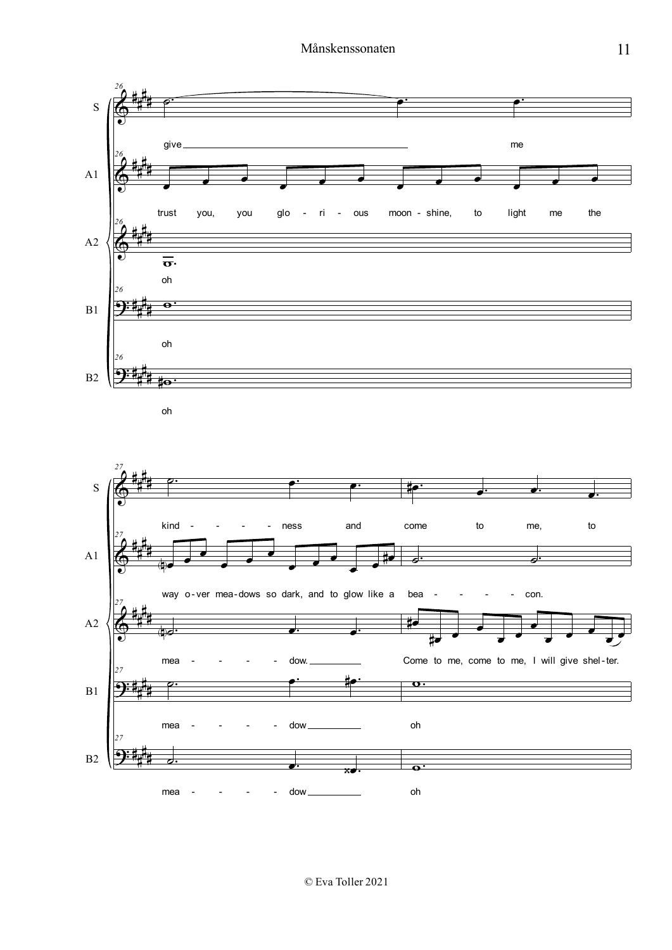



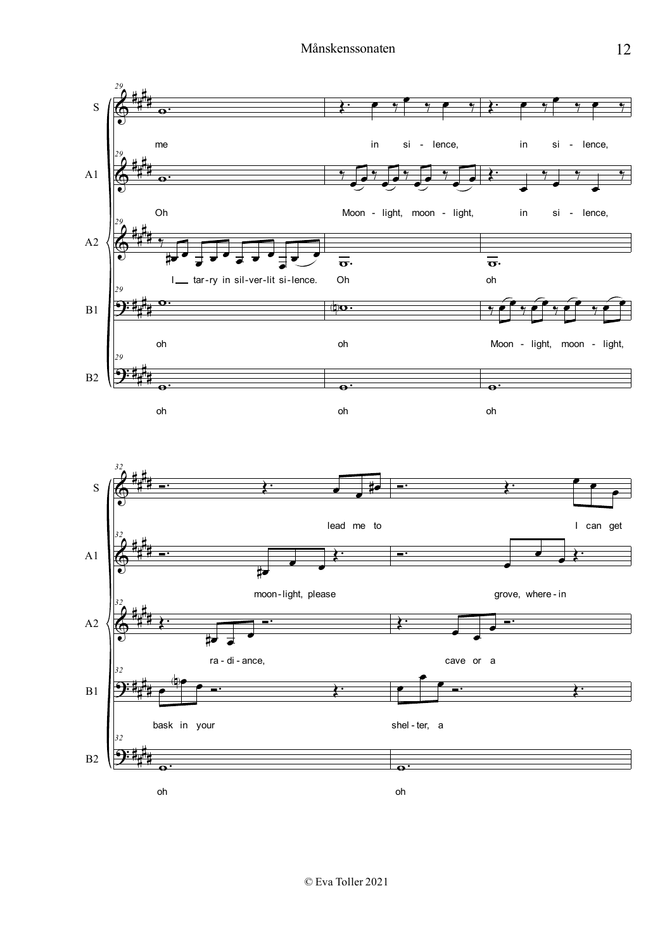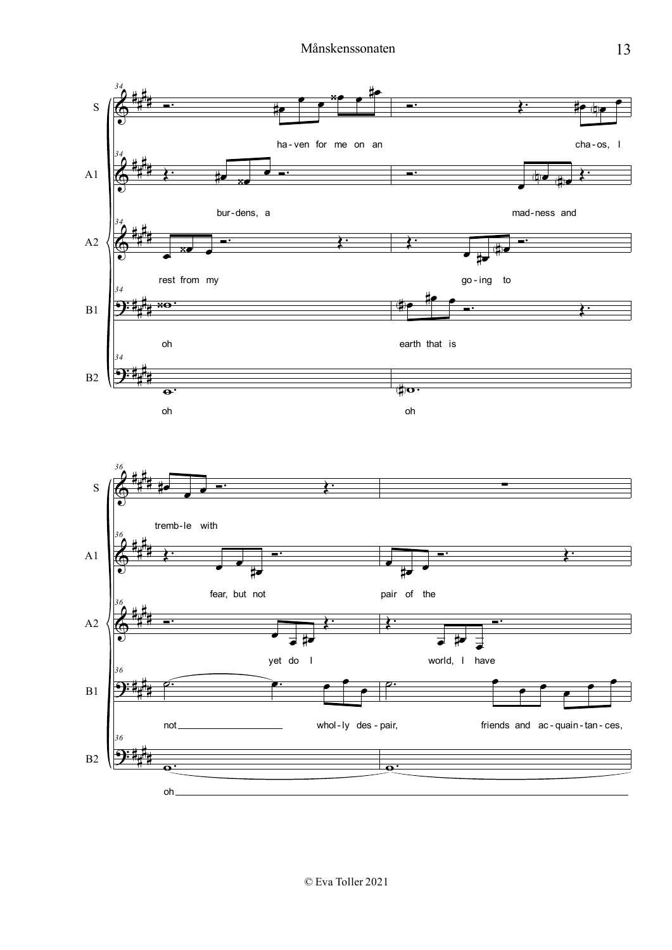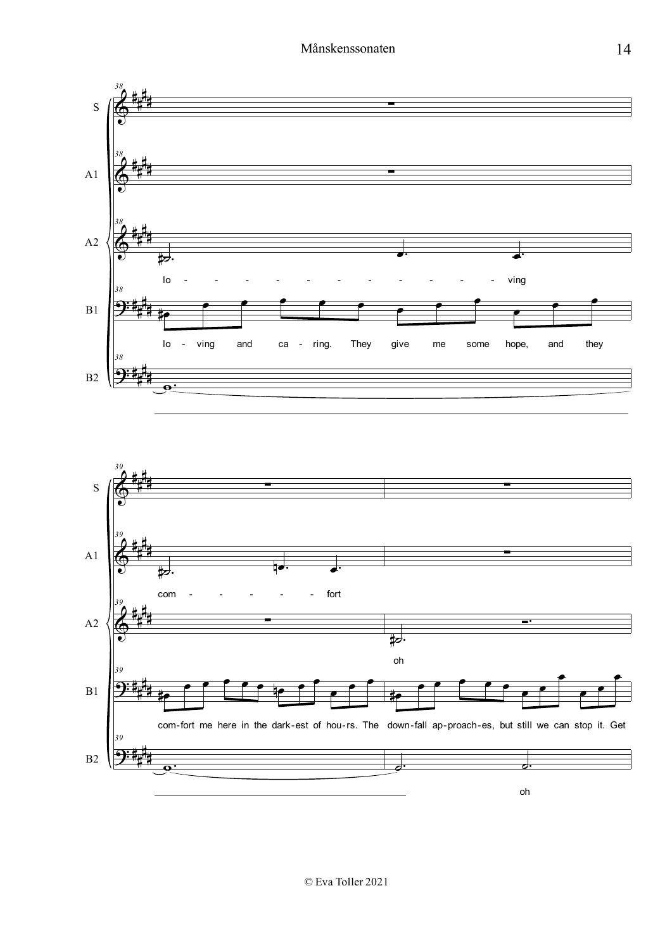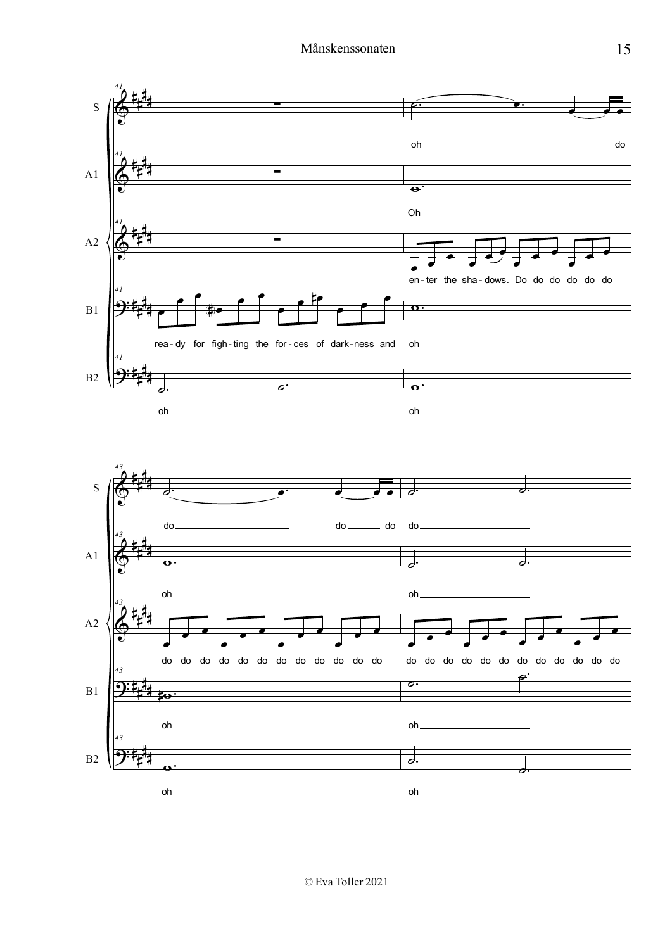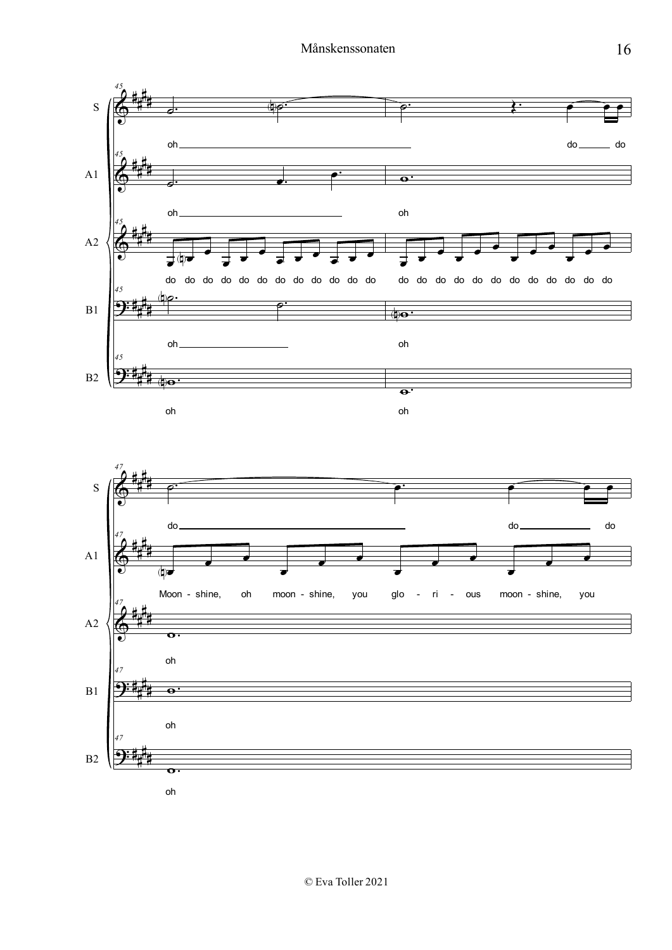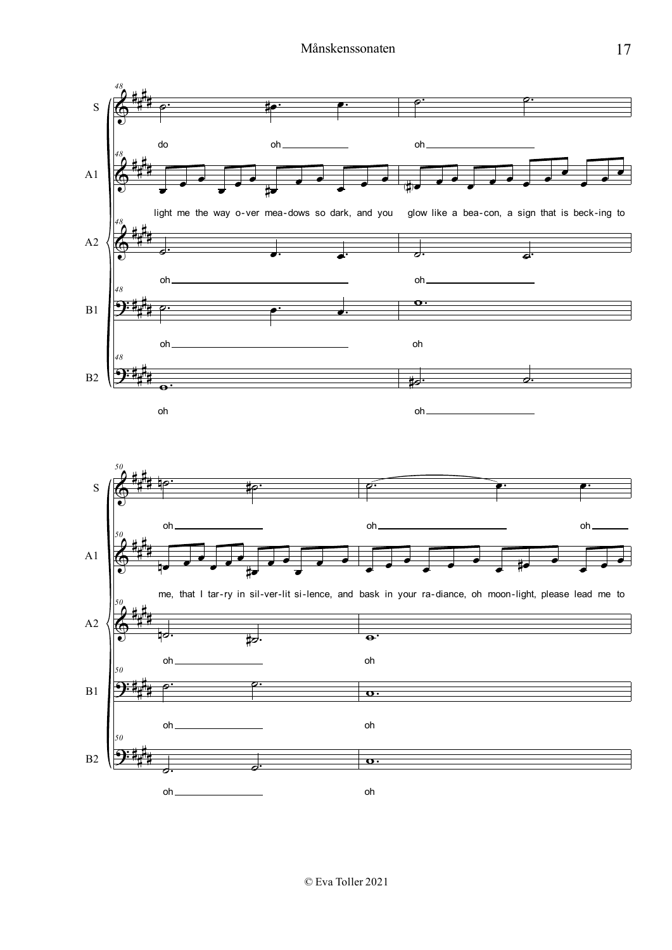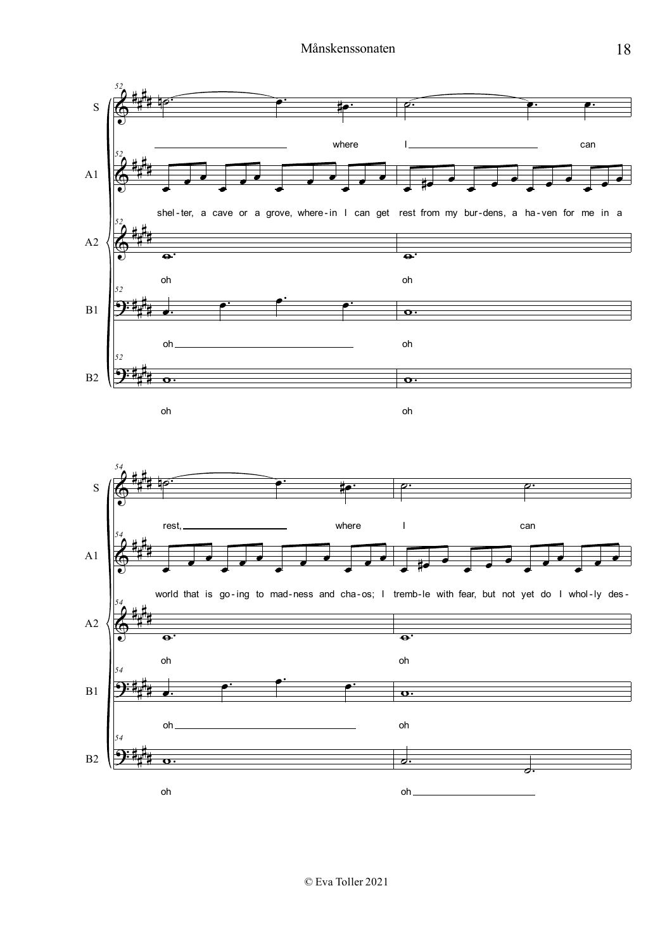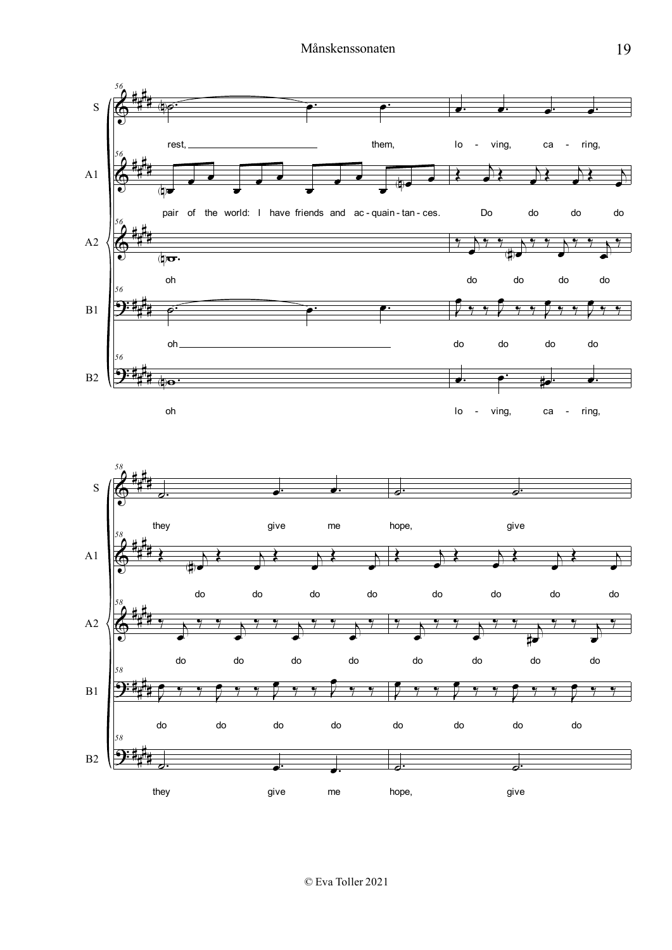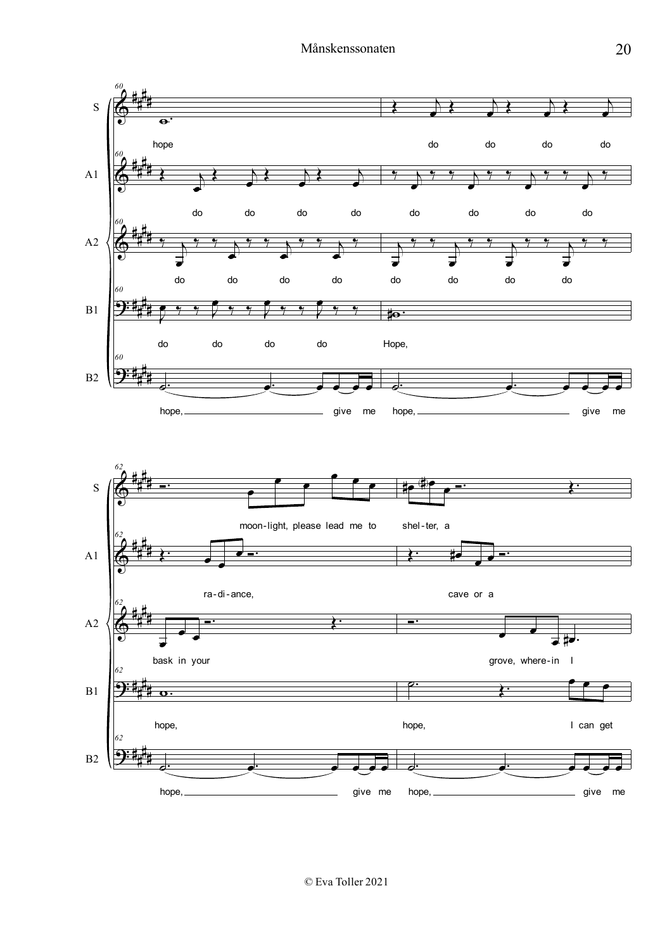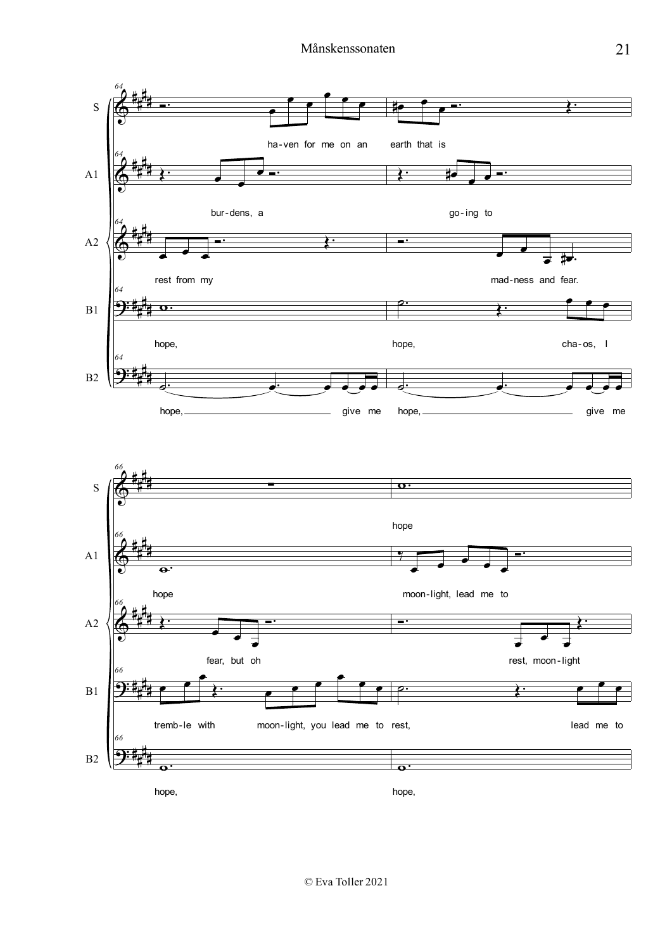